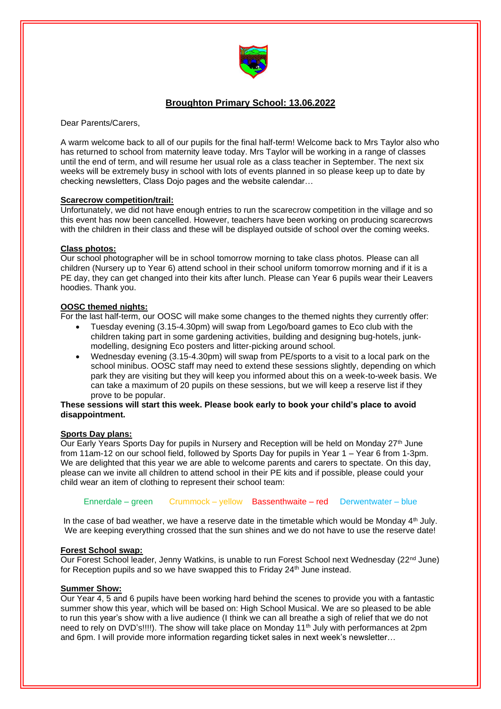

# **Broughton Primary School: 13.06.2022**

Dear Parents/Carers,

A warm welcome back to all of our pupils for the final half-term! Welcome back to Mrs Taylor also who has returned to school from maternity leave today. Mrs Taylor will be working in a range of classes until the end of term, and will resume her usual role as a class teacher in September. The next six weeks will be extremely busy in school with lots of events planned in so please keep up to date by checking newsletters, Class Dojo pages and the website calendar…

#### **Scarecrow competition/trail:**

Unfortunately, we did not have enough entries to run the scarecrow competition in the village and so this event has now been cancelled. However, teachers have been working on producing scarecrows with the children in their class and these will be displayed outside of school over the coming weeks.

#### **Class photos:**

Our school photographer will be in school tomorrow morning to take class photos. Please can all children (Nursery up to Year 6) attend school in their school uniform tomorrow morning and if it is a PE day, they can get changed into their kits after lunch. Please can Year 6 pupils wear their Leavers hoodies. Thank you.

#### **OOSC themed nights:**

For the last half-term, our OOSC will make some changes to the themed nights they currently offer:

- Tuesday evening (3.15-4.30pm) will swap from Lego/board games to Eco club with the children taking part in some gardening activities, building and designing bug-hotels, junkmodelling, designing Eco posters and litter-picking around school.
- Wednesday evening (3.15-4.30pm) will swap from PE/sports to a visit to a local park on the school minibus. OOSC staff may need to extend these sessions slightly, depending on which park they are visiting but they will keep you informed about this on a week-to-week basis. We can take a maximum of 20 pupils on these sessions, but we will keep a reserve list if they prove to be popular.

#### **These sessions will start this week. Please book early to book your child's place to avoid disappointment.**

#### **Sports Day plans:**

Our Early Years Sports Day for pupils in Nursery and Reception will be held on Monday 27<sup>th</sup> June from 11am-12 on our school field, followed by Sports Day for pupils in Year 1 – Year 6 from 1-3pm. We are delighted that this year we are able to welcome parents and carers to spectate. On this day, please can we invite all children to attend school in their PE kits and if possible, please could your child wear an item of clothing to represent their school team:

Ennerdale – green Crummock – yellow Bassenthwaite – red Derwentwater – blue

In the case of bad weather, we have a reserve date in the timetable which would be Monday  $4<sup>th</sup>$  July. We are keeping everything crossed that the sun shines and we do not have to use the reserve date!

#### **Forest School swap:**

Our Forest School leader, Jenny Watkins, is unable to run Forest School next Wednesday (22<sup>nd</sup> June) for Reception pupils and so we have swapped this to Friday 24<sup>th</sup> June instead.

#### **Summer Show:**

Our Year 4, 5 and 6 pupils have been working hard behind the scenes to provide you with a fantastic summer show this year, which will be based on: High School Musical. We are so pleased to be able to run this year's show with a live audience (I think we can all breathe a sigh of relief that we do not need to rely on DVD's!!!!). The show will take place on Monday 11<sup>th</sup> July with performances at 2pm and 6pm. I will provide more information regarding ticket sales in next week's newsletter…